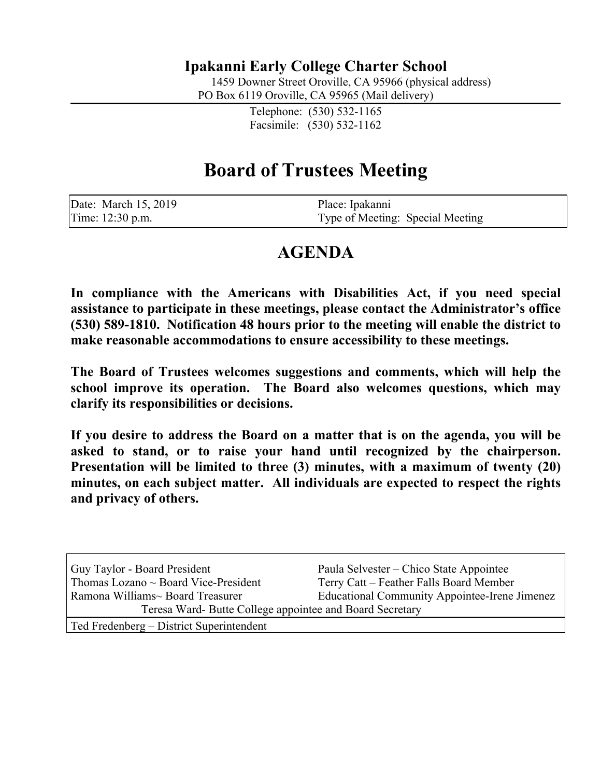## **Ipakanni Early College Charter School**

1459 Downer Street Oroville, CA 95966 (physical address)

PO Box 6119 Oroville, CA 95965 (Mail delivery)

Telephone: (530) 532-1165 Facsimile: (530) 532-1162

## **Board of Trustees Meeting**

| Date: March 15, 2019 | Place: Ipakanni                  |
|----------------------|----------------------------------|
| Time: 12:30 p.m.     | Type of Meeting: Special Meeting |

## **AGENDA**

**In compliance with the Americans with Disabilities Act, if you need special assistance to participate in these meetings, please contact the Administrator's office (530) 589-1810. Notification 48 hours prior to the meeting will enable the district to make reasonable accommodations to ensure accessibility to these meetings.**

**The Board of Trustees welcomes suggestions and comments, which will help the school improve its operation. The Board also welcomes questions, which may clarify its responsibilities or decisions.**

**If you desire to address the Board on a matter that is on the agenda, you will be asked to stand, or to raise your hand until recognized by the chairperson. Presentation will be limited to three (3) minutes, with a maximum of twenty (20) minutes, on each subject matter. All individuals are expected to respect the rights and privacy of others.**

| Guy Taylor - Board President                             | Paula Selvester – Chico State Appointee              |  |
|----------------------------------------------------------|------------------------------------------------------|--|
| Thomas Lozano $\sim$ Board Vice-President                | Terry Catt – Feather Falls Board Member              |  |
| Ramona Williams~ Board Treasurer                         | <b>Educational Community Appointee-Irene Jimenez</b> |  |
| Teresa Ward- Butte College appointee and Board Secretary |                                                      |  |
| Ted Fredenberg – District Superintendent                 |                                                      |  |